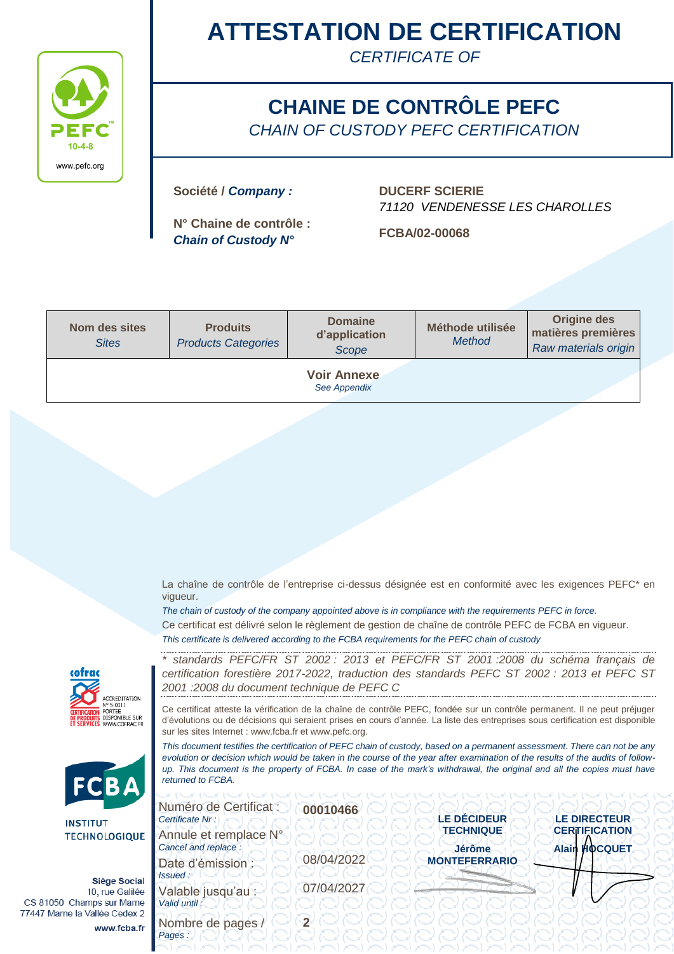

# **ATTESTATION DE CERTIFICATION**

*CERTIFICATE OF*

### **CHAINE DE CONTRÔLE PEFC** *CHAIN OF CUSTODY PEFC CERTIFICATION*

**Société /** *Company :* **DUCERF SCIERIE**

**N° Chaine de contrôle :** *Chain of Custody N°* **FCBA/02-00068**

*71120 VENDENESSE LES CHAROLLES*

| <b>Nom des sites</b><br><b>Sites</b> | <b>Produits</b><br><b>Products Categories</b> | <b>Domaine</b><br>d'application<br>Scope | Méthode utilisée<br><b>Method</b> | <b>Origine des</b><br>matières premières<br>Raw materials origin |  |  |  |
|--------------------------------------|-----------------------------------------------|------------------------------------------|-----------------------------------|------------------------------------------------------------------|--|--|--|
| <b>Voir Annexe</b><br>See Appendix   |                                               |                                          |                                   |                                                                  |  |  |  |

La chaîne de contrôle de l'entreprise ci-dessus désignée est en conformité avec les exigences PEFC\* en vigueur.

*The chain of custody of the company appointed above is in compliance with the requirements PEFC in force.*  Ce certificat est délivré selon le règlement de gestion de chaîne de contrôle PEFC de FCBA en vigueur. *This certificate is delivered according to the FCBA requirements for the PEFC chain of custody*





**INSTITU TECHNO** 

> Si  $10<sup>1</sup>$

> > w

CS 81050 Champs 77447 Marne la Valle *\* standards PEFC/FR ST 2002 : 2013 et PEFC/FR ST 2001 :2008 du schéma français de certification forestière 2017-2022, traduction des standards PEFC ST 2002 : 2013 et PEFC ST 2001 :2008 du document technique de PEFC C*

Ce certificat atteste la vérification de la chaîne de contrôle PEFC, fondée sur un contrôle permanent. Il ne peut préjuger d'évolutions ou de décisions qui seraient prises en cours d'année. La liste des entreprises sous certification est disponible sur les sites Internet : www.fcba.fr et www.pefc.org.

*This document testifies the certification of PEFC chain of custody, based on a permanent assessment. There can not be any evolution or decision which would be taken in the course of the year after examination of the results of the audits of followup. This document is the property of FCBA. In case of the mark's withdrawal, the original and all the copies must have returned to FCBA.* 

| LOGIQUE                                             | Numéro de Certificat :<br>Certificate Nr:<br>Annule et remplace N° | 00010466   | <b>LE DÉCIDEUR</b><br><b>TECHNIQUE</b> | <b>LE-DIRECTEUR</b><br><b>CERTIFICATION</b> |
|-----------------------------------------------------|--------------------------------------------------------------------|------------|----------------------------------------|---------------------------------------------|
|                                                     | Cancel and replace :<br>Date d'émission<br>Issued:                 | 08/04/2022 | <b>Jérôme</b><br><b>MONTEFERRARIO</b>  | <b>Alain HOCQUET</b>                        |
| ège Social<br>rue Galilée<br>sur Marne<br>e Cedex 2 | Valable jusqu'au :<br>Valid until:                                 | 07/04/2027 |                                        |                                             |
| ww.fcba.fr                                          | Nombre de pages<br>Pages:                                          |            |                                        |                                             |